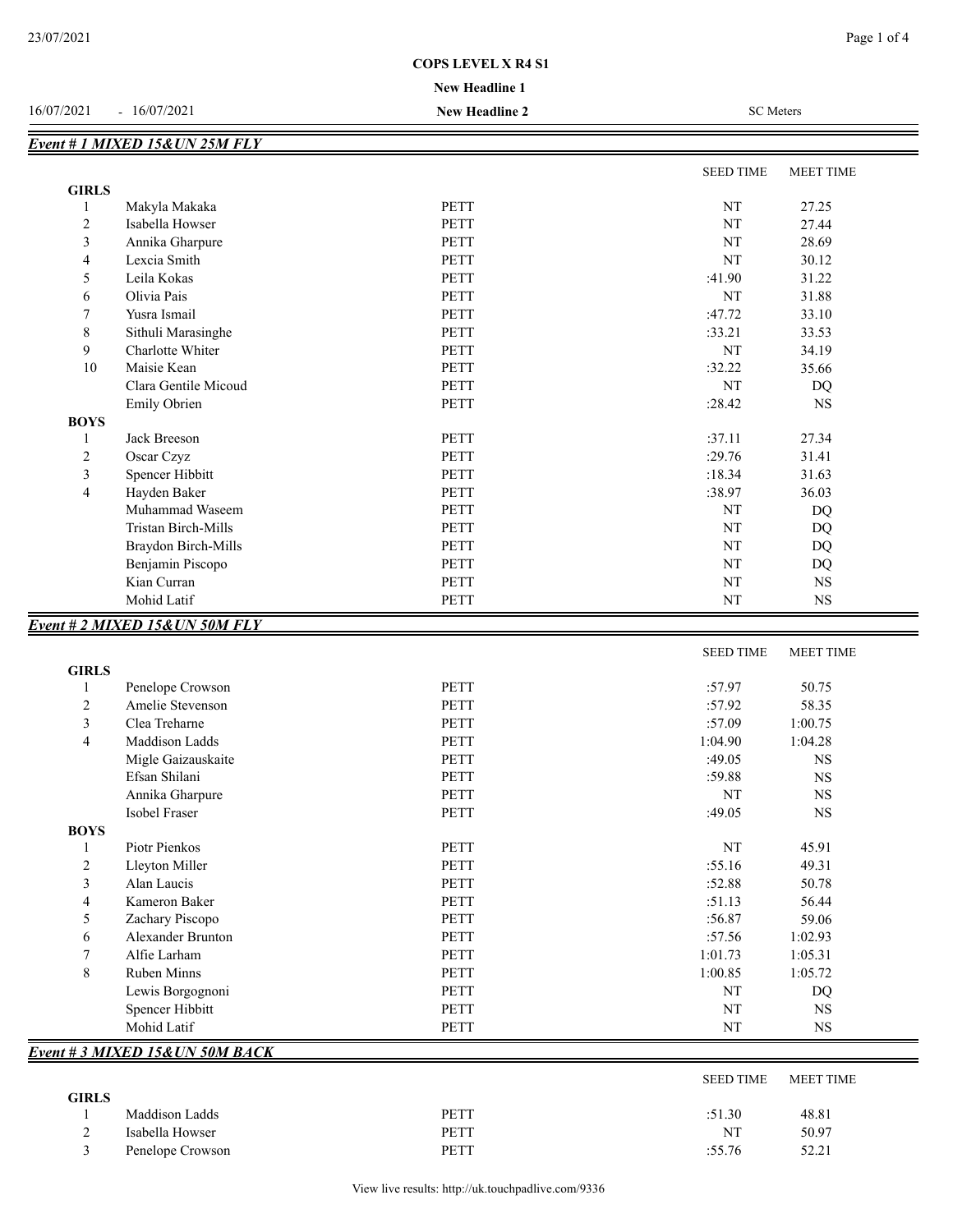## **New Headline 1 COPS LEVEL X R4 S1**

### 16/07/2021 - 16/07/2021 **New Headline 2** SC Meters

|                |                                |             | <b>SEED TIME</b> | <b>MEET TIME</b> |
|----------------|--------------------------------|-------------|------------------|------------------|
| <b>GIRLS</b>   |                                |             |                  |                  |
|                | Makyla Makaka                  | <b>PETT</b> | NT               | 27.25            |
| $\overline{2}$ | Isabella Howser                | <b>PETT</b> | NT               | 27.44            |
| 3              | Annika Gharpure                | <b>PETT</b> | NT               | 28.69            |
| 4              | Lexcia Smith                   | <b>PETT</b> | NT               | 30.12            |
| 5              | Leila Kokas                    | <b>PETT</b> | :41.90           | 31.22            |
| 6              | Olivia Pais                    | <b>PETT</b> | NT               | 31.88            |
| 7              | Yusra Ismail                   | <b>PETT</b> | :47.72           | 33.10            |
| $\,$ 8 $\,$    | Sithuli Marasinghe             | <b>PETT</b> | :33.21           | 33.53            |
| 9              | Charlotte Whiter               | <b>PETT</b> | NT               | 34.19            |
| 10             | Maisie Kean                    | <b>PETT</b> | :32.22           | 35.66            |
|                | Clara Gentile Micoud           | <b>PETT</b> | NT               | <b>DQ</b>        |
|                | Emily Obrien                   | <b>PETT</b> | :28.42           | <b>NS</b>        |
| <b>BOYS</b>    |                                |             |                  |                  |
| -1             | Jack Breeson                   | <b>PETT</b> | :37.11           | 27.34            |
| $\overline{2}$ | Oscar Czyz                     | <b>PETT</b> | :29.76           | 31.41            |
| 3              | Spencer Hibbitt                | <b>PETT</b> | :18.34           | 31.63            |
| 4              | Hayden Baker                   | <b>PETT</b> | :38.97           | 36.03            |
|                | Muhammad Waseem                | <b>PETT</b> | NT               | DQ               |
|                | Tristan Birch-Mills            | <b>PETT</b> | NT               | DQ               |
|                | Braydon Birch-Mills            | <b>PETT</b> | NT               | DQ               |
|                | Benjamin Piscopo               | <b>PETT</b> | NT               | DQ               |
|                | Kian Curran                    | <b>PETT</b> | NT               | <b>NS</b>        |
|                | Mohid Latif                    | <b>PETT</b> | NT               | $_{\rm NS}$      |
|                | Event # 2 MIXED 15& UN 50M FLY |             |                  |                  |
|                |                                |             | <b>SEED TIME</b> | <b>MEET TIME</b> |

| <b>GIRLS</b><br>$\mathbf{1}$ | Penelope Crowson                | <b>PETT</b> | :57.97           | 50.75            |
|------------------------------|---------------------------------|-------------|------------------|------------------|
| $\overline{c}$               | Amelie Stevenson                | <b>PETT</b> | :57.92           | 58.35            |
| 3                            | Clea Treharne                   | <b>PETT</b> | :57.09           | 1:00.75          |
| $\overline{4}$               | Maddison Ladds                  | <b>PETT</b> | 1:04.90          | 1:04.28          |
|                              | Migle Gaizauskaite              | PETT        | :49.05           | <b>NS</b>        |
|                              | Efsan Shilani                   | <b>PETT</b> | :59.88           | <b>NS</b>        |
|                              | Annika Gharpure                 | <b>PETT</b> | NT               | <b>NS</b>        |
|                              | Isobel Fraser                   | PETT        | :49.05           | <b>NS</b>        |
| <b>BOYS</b>                  |                                 |             |                  |                  |
|                              | Piotr Pienkos                   | PETT        | NT               | 45.91            |
| 2                            | Lleyton Miller                  | PETT        | :55.16           | 49.31            |
| 3                            | Alan Laucis                     | <b>PETT</b> | :52.88           | 50.78            |
| 4                            | Kameron Baker                   | PETT        | :51.13           | 56.44            |
| 5                            | Zachary Piscopo                 | <b>PETT</b> | :56.87           | 59.06            |
| 6                            | <b>Alexander Brunton</b>        | <b>PETT</b> | :57.56           | 1:02.93          |
| $\overline{7}$               | Alfie Larham                    | <b>PETT</b> | 1:01.73          | 1:05.31          |
| $\,$ 8 $\,$                  | <b>Ruben Minns</b>              | <b>PETT</b> | 1:00.85          | 1:05.72          |
|                              | Lewis Borgognoni                | <b>PETT</b> | NT               | DQ               |
|                              | Spencer Hibbitt                 | PETT        | NT               | <b>NS</b>        |
|                              | Mohid Latif                     | PETT        | NT               | <b>NS</b>        |
|                              | Event # 3 MIXED 15& UN 50M BACK |             |                  |                  |
|                              |                                 |             | <b>SEED TIME</b> | <b>MEET TIME</b> |

|                  |      | ULLD THILL |       |
|------------------|------|------------|-------|
|                  |      |            |       |
| Maddison Ladds   | PETT | :51.30     | 48.81 |
| Isabella Howser  | PETT | NT         | 50.97 |
| Penelope Crowson | PETT | :55.76     | 52.21 |
|                  |      |            |       |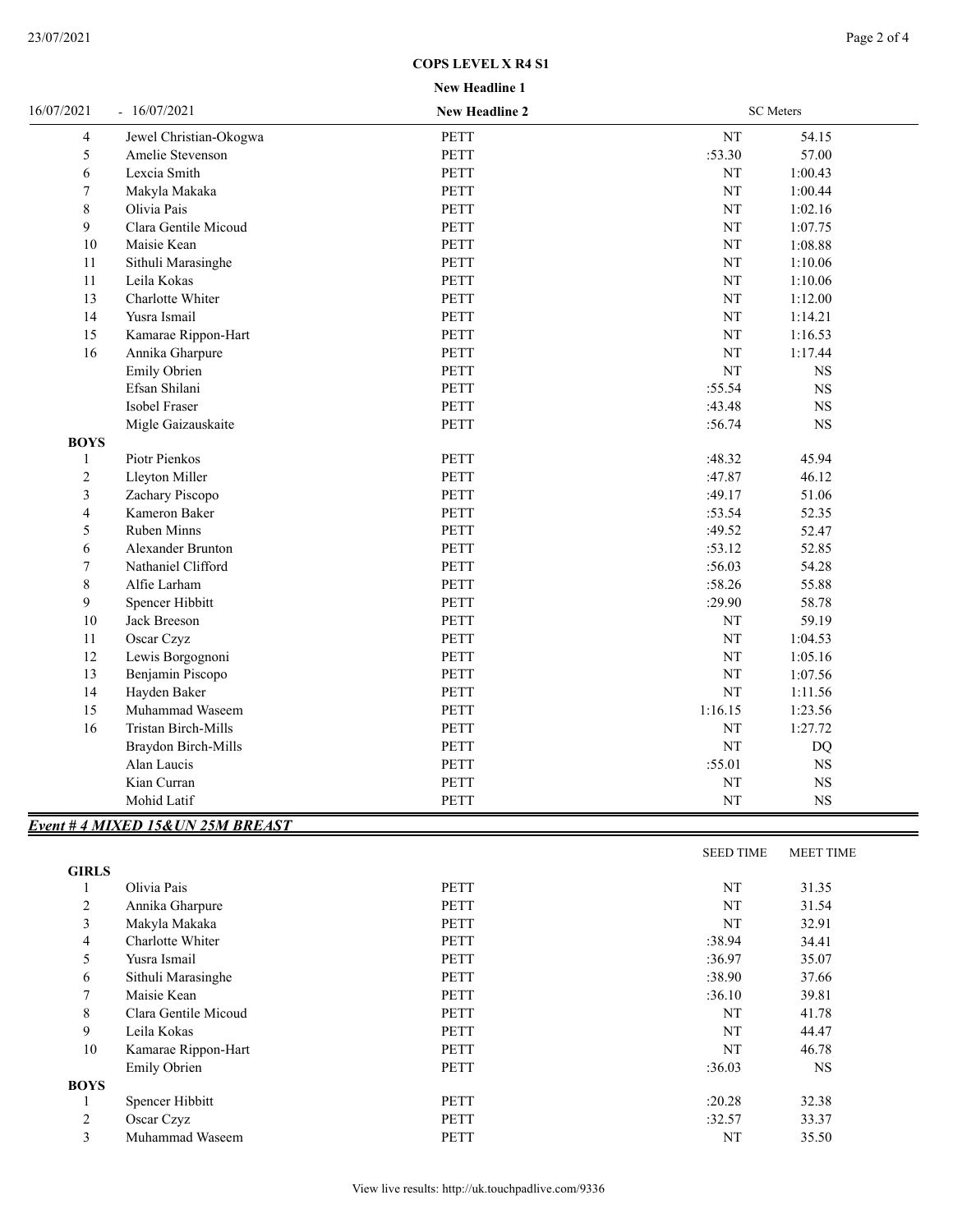## **COPS LEVEL X R4 S1**

**New Headline 1**

| 16/07/2021              | $-16/07/2021$                     | <b>New Headline 2</b> | <b>SC</b> Meters |             |  |
|-------------------------|-----------------------------------|-----------------------|------------------|-------------|--|
| 4                       | Jewel Christian-Okogwa            | <b>PETT</b>           | NT               | 54.15       |  |
| 5                       | Amelie Stevenson                  | PETT                  | :53.30           | 57.00       |  |
| 6                       | Lexcia Smith                      | <b>PETT</b>           | $\rm{NT}$        | 1:00.43     |  |
| 7                       | Makyla Makaka                     | <b>PETT</b>           | $\rm{NT}$        | 1:00.44     |  |
| 8                       | Olivia Pais                       | <b>PETT</b>           | $\rm{NT}$        | 1:02.16     |  |
| 9                       | Clara Gentile Micoud              | PETT                  | $\rm{NT}$        | 1:07.75     |  |
| $10\,$                  | Maisie Kean                       | PETT                  | $\rm{NT}$        | 1:08.88     |  |
| 11                      | Sithuli Marasinghe                | <b>PETT</b>           | $\rm{NT}$        | 1:10.06     |  |
| 11                      | Leila Kokas                       | <b>PETT</b>           | NT               | 1:10.06     |  |
| 13                      | Charlotte Whiter                  | <b>PETT</b>           | $\rm{NT}$        | 1:12.00     |  |
| 14                      | Yusra Ismail                      | <b>PETT</b>           | $\rm{NT}$        | 1:14.21     |  |
| 15                      | Kamarae Rippon-Hart               | <b>PETT</b>           | NT               | 1:16.53     |  |
| 16                      | Annika Gharpure                   | PETT                  | $\rm{NT}$        | 1:17.44     |  |
|                         | Emily Obrien                      | <b>PETT</b>           | NT               | $_{\rm NS}$ |  |
|                         | Efsan Shilani                     | PETT                  | :55.54           | $_{\rm NS}$ |  |
|                         | Isobel Fraser                     | <b>PETT</b>           | :43.48           | $_{\rm NS}$ |  |
|                         | Migle Gaizauskaite                | <b>PETT</b>           | :56.74           | <b>NS</b>   |  |
| <b>BOYS</b>             |                                   |                       |                  |             |  |
| 1                       | Piotr Pienkos                     | <b>PETT</b>           | :48.32           | 45.94       |  |
| $\overline{2}$          | Lleyton Miller                    | PETT                  | :47.87           | 46.12       |  |
| 3                       | Zachary Piscopo                   | PETT                  | :49.17           | 51.06       |  |
| $\overline{\mathbf{4}}$ | Kameron Baker                     | <b>PETT</b>           | :53.54           | 52.35       |  |
| 5                       | Ruben Minns                       | PETT                  | :49.52           | 52.47       |  |
| 6                       | Alexander Brunton                 | <b>PETT</b>           | :53.12           | 52.85       |  |
| $\overline{7}$          | Nathaniel Clifford                | <b>PETT</b>           | :56.03           | 54.28       |  |
| $\,8\,$                 | Alfie Larham                      | PETT                  | :58.26           | 55.88       |  |
| 9                       | Spencer Hibbitt                   | <b>PETT</b>           | :29.90           | 58.78       |  |
| 10                      | Jack Breeson                      | <b>PETT</b>           | NT               | 59.19       |  |
| 11                      | Oscar Czyz                        | <b>PETT</b>           | $\rm{NT}$        | 1:04.53     |  |
| 12                      | Lewis Borgognoni                  | <b>PETT</b>           | $\rm{NT}$        | 1:05.16     |  |
| 13                      | Benjamin Piscopo                  | <b>PETT</b>           | NT               | 1:07.56     |  |
| 14                      | Hayden Baker                      | <b>PETT</b>           | $\rm{NT}$        | 1:11.56     |  |
| 15                      | Muhammad Waseem                   | <b>PETT</b>           | 1:16.15          | 1:23.56     |  |
| 16                      | Tristan Birch-Mills               | PETT                  | NT               | 1:27.72     |  |
|                         | Braydon Birch-Mills               | <b>PETT</b>           | $\rm{NT}$        | DQ          |  |
|                         | Alan Laucis                       | <b>PETT</b>           | :55.01           | $_{\rm NS}$ |  |
|                         | Kian Curran                       | PETT                  | $\rm{NT}$        | $_{\rm NS}$ |  |
|                         | Mohid Latif                       | PETT                  | $\rm{NT}$        | $_{\rm NS}$ |  |
|                         | Event # 4 MIXED 15& UN 25M BREAST |                       |                  |             |  |
|                         |                                   |                       |                  |             |  |

|                |                      |             | <b>SEED TIME</b> | <b>MEET TIME</b> |
|----------------|----------------------|-------------|------------------|------------------|
| <b>GIRLS</b>   |                      |             |                  |                  |
|                | Olivia Pais          | <b>PETT</b> | NT               | 31.35            |
| 2              | Annika Gharpure      | <b>PETT</b> | NT               | 31.54            |
| 3              | Makyla Makaka        | <b>PETT</b> | NT               | 32.91            |
| $\overline{4}$ | Charlotte Whiter     | <b>PETT</b> | :38.94           | 34.41            |
| 5              | Yusra Ismail         | <b>PETT</b> | :36.97           | 35.07            |
| 6              | Sithuli Marasinghe   | <b>PETT</b> | :38.90           | 37.66            |
| 7              | Maisie Kean          | <b>PETT</b> | :36.10           | 39.81            |
| 8              | Clara Gentile Micoud | <b>PETT</b> | NT               | 41.78            |
| 9              | Leila Kokas          | <b>PETT</b> | NT               | 44.47            |
| 10             | Kamarae Rippon-Hart  | <b>PETT</b> | NT               | 46.78            |
|                | <b>Emily Obrien</b>  | <b>PETT</b> | :36.03           | <b>NS</b>        |
| <b>BOYS</b>    |                      |             |                  |                  |
| -1             | Spencer Hibbitt      | <b>PETT</b> | :20.28           | 32.38            |
| 2              | Oscar Czyz           | <b>PETT</b> | :32.57           | 33.37            |
| 3              | Muhammad Waseem      | <b>PETT</b> | NT               | 35.50            |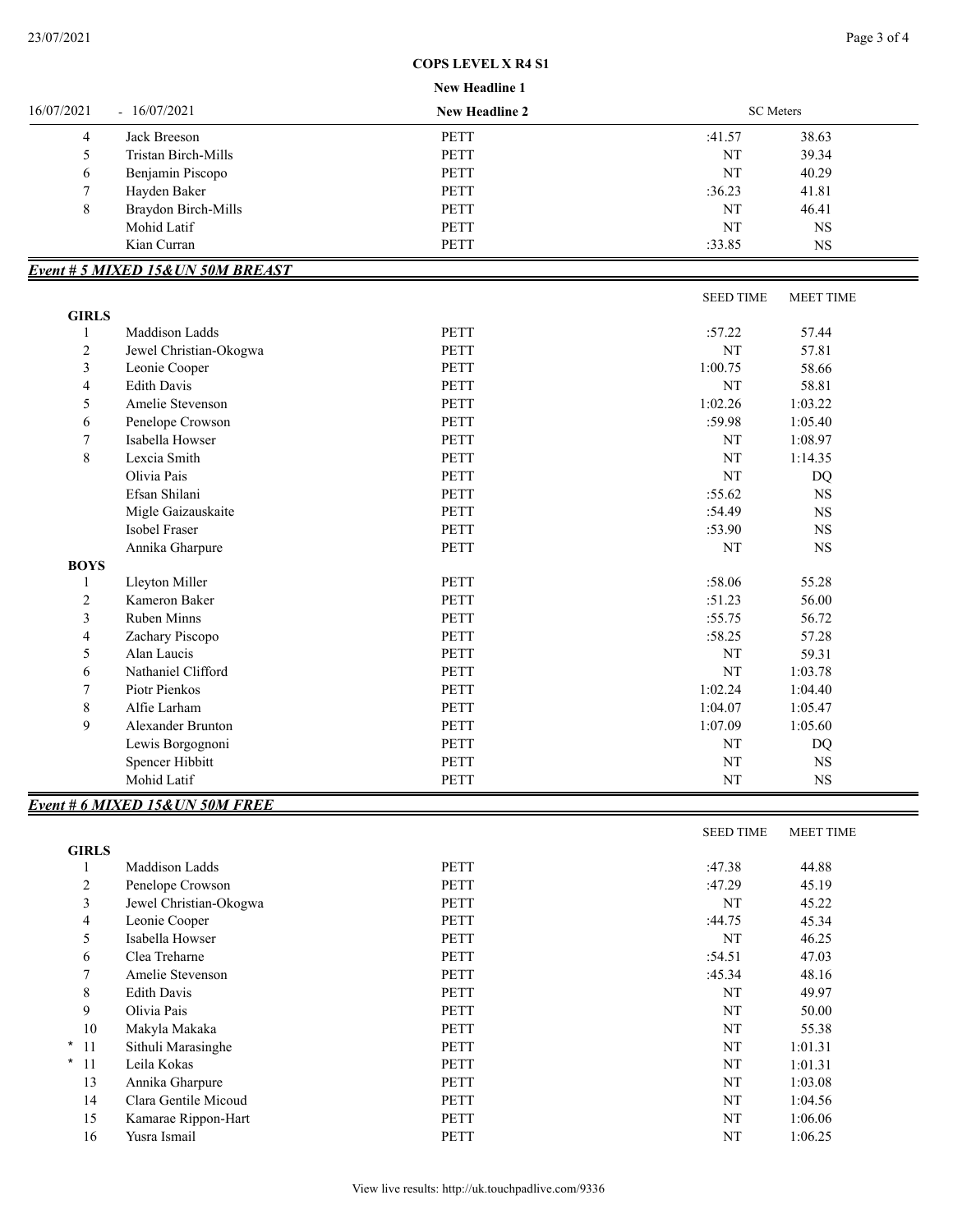#### **COPS LEVEL X R4 S1**

#### **New Headline 1**

|               |                     | $11011$ revanced to   |        |                  |  |
|---------------|---------------------|-----------------------|--------|------------------|--|
| 16/07/2021    | $-16/07/2021$       | <b>New Headline 2</b> |        | <b>SC</b> Meters |  |
| 4             | Jack Breeson        | <b>PETT</b>           | :41.57 | 38.63            |  |
| $\mathcal{L}$ | Tristan Birch-Mills | <b>PETT</b>           | NT     | 39.34            |  |
| $\sigma$      | Benjamin Piscopo    | <b>PETT</b>           | NT     | 40.29            |  |
| π             | Hayden Baker        | <b>PETT</b>           | :36.23 | 41.81            |  |
| 8             | Braydon Birch-Mills | <b>PETT</b>           | NT     | 46.41            |  |
|               | Mohid Latif         | <b>PETT</b>           | NT     | NS               |  |
|               | Kian Curran         | PETT                  | :33.85 | NS               |  |

## *Event # 5 MIXED 15&UN 50M BREAST*

|                |                          |             | <b>SEED TIME</b> | <b>MEET TIME</b> |  |
|----------------|--------------------------|-------------|------------------|------------------|--|
| <b>GIRLS</b>   |                          |             |                  |                  |  |
| 1              | Maddison Ladds           | <b>PETT</b> | :57.22           | 57.44            |  |
| $\overline{c}$ | Jewel Christian-Okogwa   | <b>PETT</b> | NT               | 57.81            |  |
| 3              | Leonie Cooper            | <b>PETT</b> | 1:00.75          | 58.66            |  |
| 4              | <b>Edith Davis</b>       | <b>PETT</b> | NT               | 58.81            |  |
| 5              | Amelie Stevenson         | <b>PETT</b> | 1:02.26          | 1:03.22          |  |
| 6              | Penelope Crowson         | <b>PETT</b> | :59.98           | 1:05.40          |  |
| 7              | Isabella Howser          | <b>PETT</b> | NT               | 1:08.97          |  |
| 8              | Lexcia Smith             | <b>PETT</b> | NT               | 1:14.35          |  |
|                | Olivia Pais              | <b>PETT</b> | NT               | DQ               |  |
|                | Efsan Shilani            | <b>PETT</b> | :55.62           | <b>NS</b>        |  |
|                | Migle Gaizauskaite       | <b>PETT</b> | :54.49           | <b>NS</b>        |  |
|                | Isobel Fraser            | <b>PETT</b> | :53.90           | <b>NS</b>        |  |
|                | Annika Gharpure          | PETT        | NT               | <b>NS</b>        |  |
| <b>BOYS</b>    |                          |             |                  |                  |  |
| 1              | Lleyton Miller           | <b>PETT</b> | :58.06           | 55.28            |  |
| $\overline{c}$ | Kameron Baker            | <b>PETT</b> | :51.23           | 56.00            |  |
| 3              | <b>Ruben Minns</b>       | <b>PETT</b> | :55.75           | 56.72            |  |
| 4              | Zachary Piscopo          | <b>PETT</b> | :58.25           | 57.28            |  |
| 5              | Alan Laucis              | PETT        | NT               | 59.31            |  |
| 6              | Nathaniel Clifford       | <b>PETT</b> | NT               | 1:03.78          |  |
| 7              | Piotr Pienkos            | <b>PETT</b> | 1:02.24          | 1:04.40          |  |
| $\,$ 8 $\,$    | Alfie Larham             | <b>PETT</b> | 1:04.07          | 1:05.47          |  |
| 9              | <b>Alexander Brunton</b> | <b>PETT</b> | 1:07.09          | 1:05.60          |  |
|                | Lewis Borgognoni         | PETT        | NT               | DQ               |  |
|                | Spencer Hibbitt          | <b>PETT</b> | NT               | <b>NS</b>        |  |
|                | Mohid Latif              | PETT        | NT               | <b>NS</b>        |  |

## *Event # 6 MIXED 15&UN 50M FREE*

|                  |                        |             | <b>SEED TIME</b> | <b>MEET TIME</b> |
|------------------|------------------------|-------------|------------------|------------------|
| <b>GIRLS</b>     |                        |             |                  |                  |
|                  | Maddison Ladds         | <b>PETT</b> | :47.38           | 44.88            |
| $\overline{2}$   | Penelope Crowson       | <b>PETT</b> | :47.29           | 45.19            |
| 3                | Jewel Christian-Okogwa | PETT        | NT               | 45.22            |
| 4                | Leonie Cooper          | <b>PETT</b> | :44.75           | 45.34            |
| 5                | Isabella Howser        | PETT        | NT               | 46.25            |
| 6                | Clea Treharne          | <b>PETT</b> | :54.51           | 47.03            |
| $\overline{7}$   | Amelie Stevenson       | PETT        | :45.34           | 48.16            |
| 8                | Edith Davis            | <b>PETT</b> | NT               | 49.97            |
| 9                | Olivia Pais            | <b>PETT</b> | NT               | 50.00            |
| 10               | Makyla Makaka          | PETT        | NT               | 55.38            |
| $*11$            | Sithuli Marasinghe     | <b>PETT</b> | NT               | 1:01.31          |
| $^{\star}$<br>11 | Leila Kokas            | <b>PETT</b> | NT               | 1:01.31          |
| 13               | Annika Gharpure        | <b>PETT</b> | NT               | 1:03.08          |
| 14               | Clara Gentile Micoud   | <b>PETT</b> | NT               | 1:04.56          |
| 15               | Kamarae Rippon-Hart    | PETT        | NT               | 1:06.06          |
| 16               | Yusra Ismail           | <b>PETT</b> | NT               | 1:06.25          |